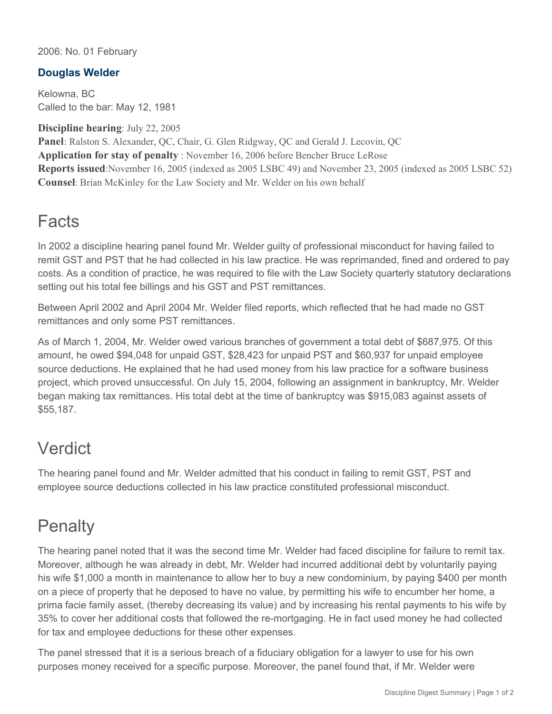#### 2006: No. 01 February

### **Douglas Welder**

Kelowna, BC Called to the bar: May 12, 1981

**Discipline hearing**: July 22, 2005

**Panel**: Ralston S. Alexander, QC, Chair, G. Glen Ridgway, QC and Gerald J. Lecovin, QC **Application for stay of penalty** : November 16, 2006 before Bencher Bruce LeRose **Reports issued**:November 16, 2005 (indexed as 2005 LSBC 49) and November 23, 2005 (indexed as 2005 LSBC 52) **Counsel**: Brian McKinley for the Law Society and Mr. Welder on his own behalf

### Facts

In 2002 a discipline hearing panel found Mr. Welder guilty of professional misconduct for having failed to remit GST and PST that he had collected in his law practice. He was reprimanded, fined and ordered to pay costs. As a condition of practice, he was required to file with the Law Society quarterly statutory declarations setting out his total fee billings and his GST and PST remittances.

Between April 2002 and April 2004 Mr. Welder filed reports, which reflected that he had made no GST remittances and only some PST remittances.

As of March 1, 2004, Mr. Welder owed various branches of government a total debt of \$687,975. Of this amount, he owed \$94,048 for unpaid GST, \$28,423 for unpaid PST and \$60,937 for unpaid employee source deductions. He explained that he had used money from his law practice for a software business project, which proved unsuccessful. On July 15, 2004, following an assignment in bankruptcy, Mr. Welder began making tax remittances. His total debt at the time of bankruptcy was \$915,083 against assets of \$55,187.

## Verdict

The hearing panel found and Mr. Welder admitted that his conduct in failing to remit GST, PST and employee source deductions collected in his law practice constituted professional misconduct.

# **Penalty**

The hearing panel noted that it was the second time Mr. Welder had faced discipline for failure to remit tax. Moreover, although he was already in debt, Mr. Welder had incurred additional debt by voluntarily paying his wife \$1,000 a month in maintenance to allow her to buy a new condominium, by paying \$400 per month on a piece of property that he deposed to have no value, by permitting his wife to encumber her home, a prima facie family asset, (thereby decreasing its value) and by increasing his rental payments to his wife by 35% to cover her additional costs that followed the re-mortgaging. He in fact used money he had collected for tax and employee deductions for these other expenses.

The panel stressed that it is a serious breach of a fiduciary obligation for a lawyer to use for his own purposes money received for a specific purpose. Moreover, the panel found that, if Mr. Welder were